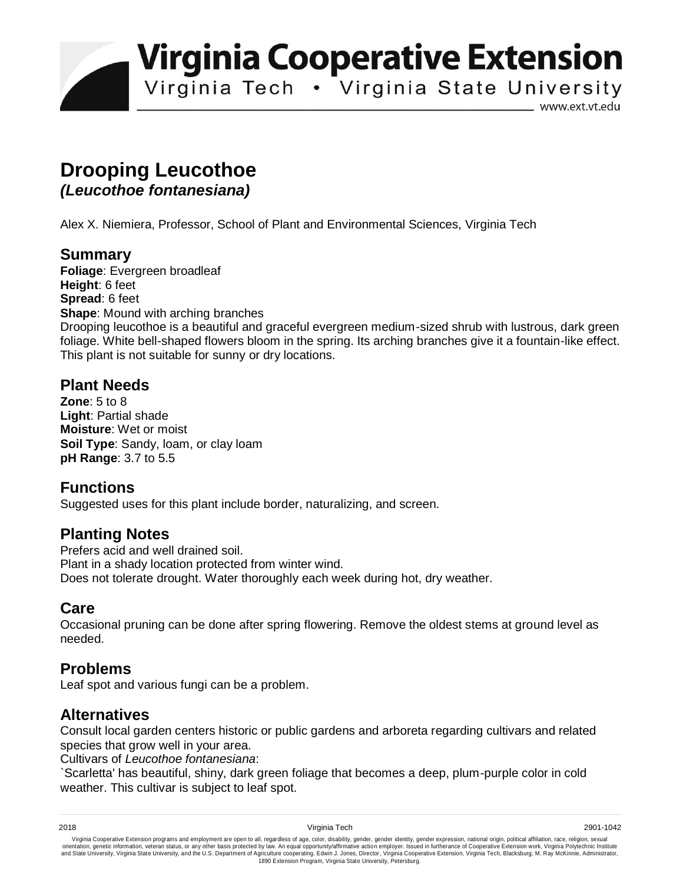**Virginia Cooperative Extension** 

Virginia Tech . Virginia State University

www.ext.vt.edu

# **Drooping Leucothoe**

*(Leucothoe fontanesiana)* 

Alex X. Niemiera, Professor, School of Plant and Environmental Sciences, Virginia Tech

## **Summary**

**Foliage**: Evergreen broadleaf **Height**: 6 feet **Spread**: 6 feet **Shape:** Mound with arching branches Drooping leucothoe is a beautiful and graceful evergreen medium-sized shrub with lustrous, dark green foliage. White bell-shaped flowers bloom in the spring. Its arching branches give it a fountain-like effect. This plant is not suitable for sunny or dry locations.

#### **Plant Needs**

**Zone**: 5 to 8 **Light**: Partial shade **Moisture**: Wet or moist **Soil Type**: Sandy, loam, or clay loam **pH Range**: 3.7 to 5.5

# **Functions**

Suggested uses for this plant include border, naturalizing, and screen.

#### **Planting Notes**

Prefers acid and well drained soil. Plant in a shady location protected from winter wind. Does not tolerate drought. Water thoroughly each week during hot, dry weather.

#### **Care**

Occasional pruning can be done after spring flowering. Remove the oldest stems at ground level as needed.

## **Problems**

Leaf spot and various fungi can be a problem.

#### **Alternatives**

Consult local garden centers historic or public gardens and arboreta regarding cultivars and related species that grow well in your area.

Cultivars of *Leucothoe fontanesiana*:

`Scarletta' has beautiful, shiny, dark green foliage that becomes a deep, plum-purple color in cold weather. This cultivar is subject to leaf spot.